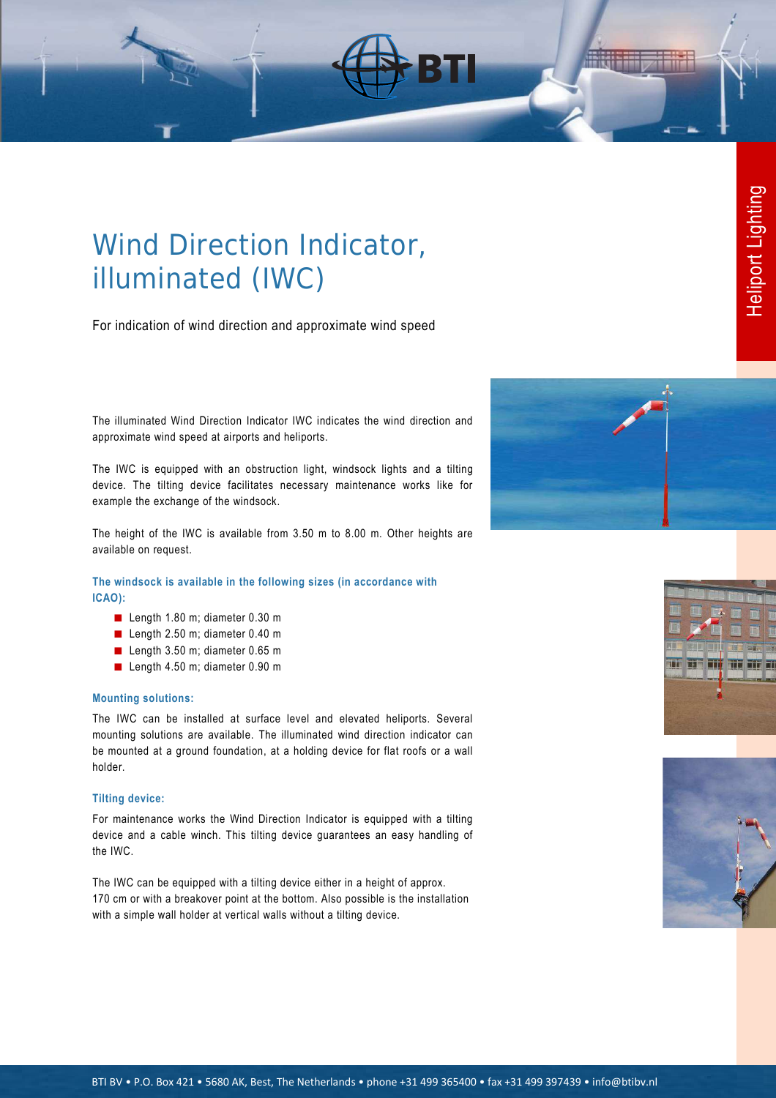# Wind Direction Indicator, illuminated (IWC)

For indication of wind direction and approximate wind speed

The illuminated Wind Direction Indicator IWC indicates the wind direction and approximate wind speed at airports and heliports.

The IWC is equipped with an obstruction light, windsock lights and a tilting device. The tilting device facilitates necessary maintenance works like for example the exchange of the windsock.

The height of the IWC is available from 3.50 m to 8.00 m. Other heights are available on request.

**The windsock is available in the following sizes (in accordance with ICAO):** 

- Length 1.80 m; diameter 0.30 m
- Length 2.50 m; diameter 0.40 m
- Length 3.50 m; diameter 0.65 m
- Length 4.50 m; diameter 0.90 m

#### **Mounting solutions:**

The IWC can be installed at surface level and elevated heliports. Several mounting solutions are available. The illuminated wind direction indicator can be mounted at a ground foundation, at a holding device for flat roofs or a wall holder.

#### **Tilting device:**

For maintenance works the Wind Direction Indicator is equipped with a tilting device and a cable winch. This tilting device guarantees an easy handling of the IWC.

The IWC can be equipped with a tilting device either in a height of approx. 170 cm or with a breakover point at the bottom. Also possible is the installation with a simple wall holder at vertical walls without a tilting device.